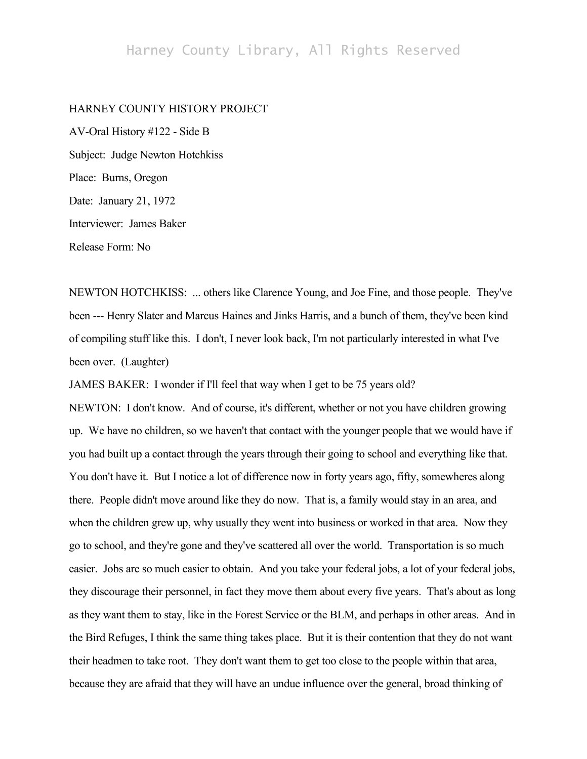## Harney County Library, All Rights Reserved

## HARNEY COUNTY HISTORY PROJECT

AV-Oral History #122 - Side B Subject: Judge Newton Hotchkiss Place: Burns, Oregon Date: January 21, 1972 Interviewer: James Baker Release Form: No

NEWTON HOTCHKISS: ... others like Clarence Young, and Joe Fine, and those people. They've been --- Henry Slater and Marcus Haines and Jinks Harris, and a bunch of them, they've been kind of compiling stuff like this. I don't, I never look back, I'm not particularly interested in what I've been over. (Laughter)

JAMES BAKER: I wonder if I'll feel that way when I get to be 75 years old?

NEWTON: I don't know. And of course, it's different, whether or not you have children growing up. We have no children, so we haven't that contact with the younger people that we would have if you had built up a contact through the years through their going to school and everything like that. You don't have it. But I notice a lot of difference now in forty years ago, fifty, somewheres along there. People didn't move around like they do now. That is, a family would stay in an area, and when the children grew up, why usually they went into business or worked in that area. Now they go to school, and they're gone and they've scattered all over the world. Transportation is so much easier. Jobs are so much easier to obtain. And you take your federal jobs, a lot of your federal jobs, they discourage their personnel, in fact they move them about every five years. That's about as long as they want them to stay, like in the Forest Service or the BLM, and perhaps in other areas. And in the Bird Refuges, I think the same thing takes place. But it is their contention that they do not want their headmen to take root. They don't want them to get too close to the people within that area, because they are afraid that they will have an undue influence over the general, broad thinking of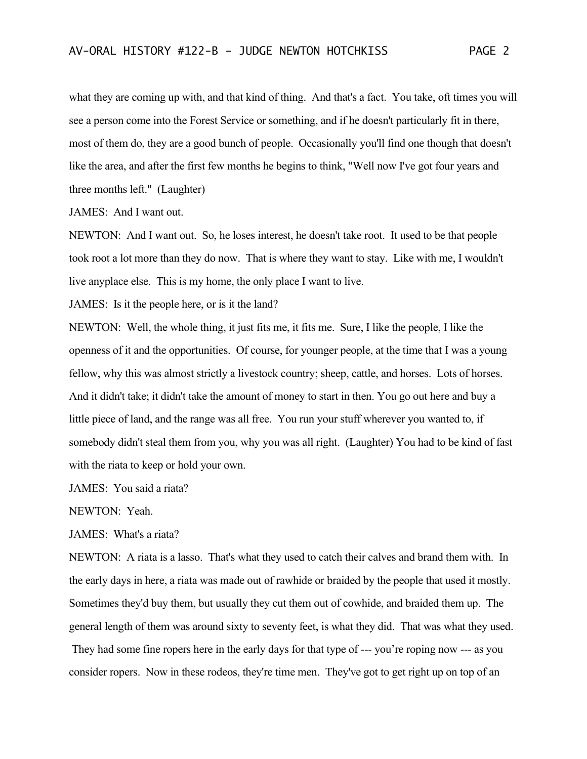what they are coming up with, and that kind of thing. And that's a fact. You take, oft times you will see a person come into the Forest Service or something, and if he doesn't particularly fit in there, most of them do, they are a good bunch of people. Occasionally you'll find one though that doesn't like the area, and after the first few months he begins to think, "Well now I've got four years and three months left." (Laughter)

JAMES: And I want out.

NEWTON: And I want out. So, he loses interest, he doesn't take root. It used to be that people took root a lot more than they do now. That is where they want to stay. Like with me, I wouldn't live anyplace else. This is my home, the only place I want to live.

JAMES: Is it the people here, or is it the land?

NEWTON: Well, the whole thing, it just fits me, it fits me. Sure, I like the people, I like the openness of it and the opportunities. Of course, for younger people, at the time that I was a young fellow, why this was almost strictly a livestock country; sheep, cattle, and horses. Lots of horses. And it didn't take; it didn't take the amount of money to start in then. You go out here and buy a little piece of land, and the range was all free. You run your stuff wherever you wanted to, if somebody didn't steal them from you, why you was all right. (Laughter) You had to be kind of fast with the riata to keep or hold your own.

JAMES: You said a riata?

NEWTON: Yeah.

JAMES: What's a riata?

NEWTON: A riata is a lasso. That's what they used to catch their calves and brand them with. In the early days in here, a riata was made out of rawhide or braided by the people that used it mostly. Sometimes they'd buy them, but usually they cut them out of cowhide, and braided them up. The general length of them was around sixty to seventy feet, is what they did. That was what they used. They had some fine ropers here in the early days for that type of --- you're roping now --- as you consider ropers. Now in these rodeos, they're time men. They've got to get right up on top of an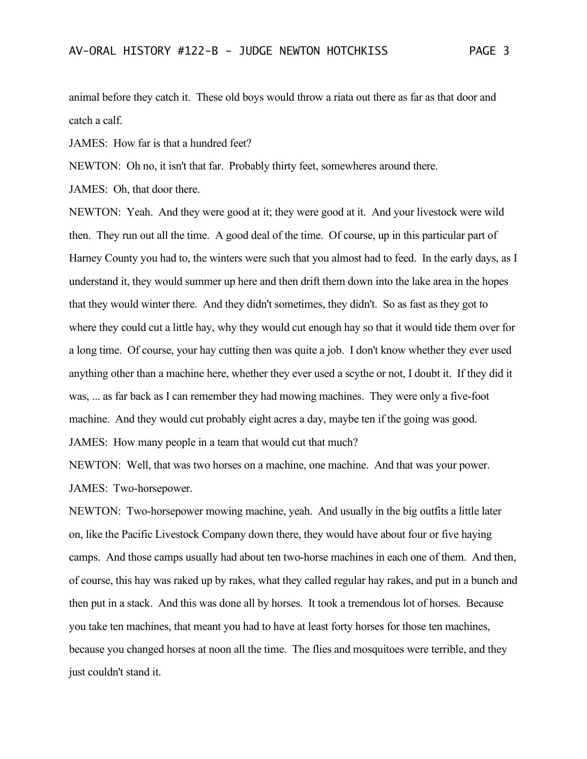animal before they catch it. These old boys would throw a riata out there as far as that door and catch a calf.

JAMES: How far is that a hundred feet?

NEWTON: Oh no, it isn't that far. Probably thirty feet, somewheres around there.

JAMES: Oh, that door there.

NEWTON: Yeah. And they were good at it; they were good at it. And your livestock were wild then. They run out all the time. A good deal of the time. Of course, up in this particular part of Harney County you had to, the winters were such that you almost had to feed. In the early days, as I understand it, they would summer up here and then drift them down into the lake area in the hopes that they would winter there. And they didn't sometimes, they didn't. So as fast as they got to where they could cut a little hay, why they would cut enough hay so that it would tide them over for a long time. Of course, your hay cutting then was quite a job. I don't know whether they ever used anything other than a machine here, whether they ever used a scythe or not, I doubt it. If they did it was, ... as far back as I can remember they had mowing machines. They were only a five-foot machine. And they would cut probably eight acres a day, maybe ten if the going was good. JAMES: How many people in a team that would cut that much?

NEWTON: Well, that was two horses on a machine, one machine. And that was your power. JAMES: Two-horsepower.

NEWTON: Two-horsepower mowing machine, yeah. And usually in the big outfits a little later on, like the Pacific Livestock Company down there, they would have about four or five haying camps. And those camps usually had about ten two-horse machines in each one of them. And then, of course, this hay was raked up by rakes, what they called regular hay rakes, and put in a bunch and then put in a stack. And this was done all by horses. It took a tremendous lot of horses. Because you take ten machines, that meant you had to have at least forty horses for those ten machines, because you changed horses at noon all the time. The flies and mosquitoes were terrible, and they just couldn't stand it.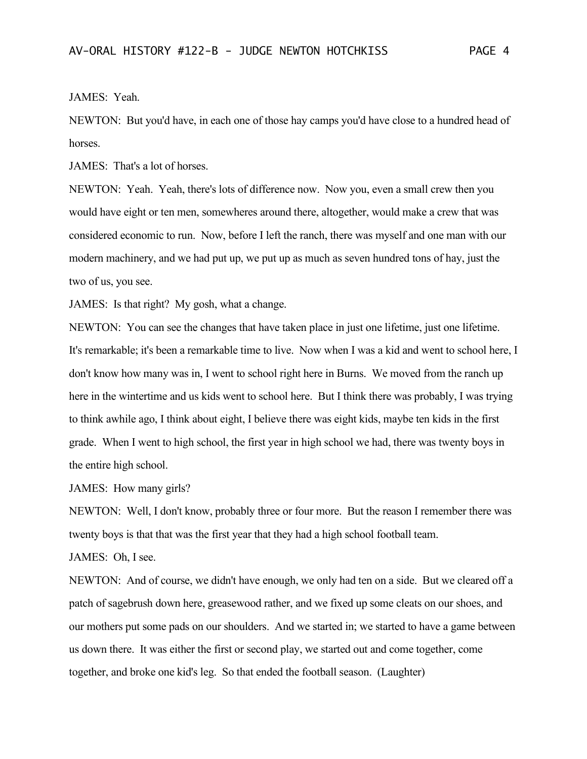JAMES: Yeah.

NEWTON: But you'd have, in each one of those hay camps you'd have close to a hundred head of horses.

JAMES: That's a lot of horses.

NEWTON: Yeah. Yeah, there's lots of difference now. Now you, even a small crew then you would have eight or ten men, somewheres around there, altogether, would make a crew that was considered economic to run. Now, before I left the ranch, there was myself and one man with our modern machinery, and we had put up, we put up as much as seven hundred tons of hay, just the two of us, you see.

JAMES: Is that right? My gosh, what a change.

NEWTON: You can see the changes that have taken place in just one lifetime, just one lifetime. It's remarkable; it's been a remarkable time to live. Now when I was a kid and went to school here, I don't know how many was in, I went to school right here in Burns. We moved from the ranch up here in the wintertime and us kids went to school here. But I think there was probably, I was trying to think awhile ago, I think about eight, I believe there was eight kids, maybe ten kids in the first grade. When I went to high school, the first year in high school we had, there was twenty boys in the entire high school.

JAMES: How many girls?

NEWTON: Well, I don't know, probably three or four more. But the reason I remember there was twenty boys is that that was the first year that they had a high school football team.

```
JAMES: Oh, I see.
```
NEWTON: And of course, we didn't have enough, we only had ten on a side. But we cleared off a patch of sagebrush down here, greasewood rather, and we fixed up some cleats on our shoes, and our mothers put some pads on our shoulders. And we started in; we started to have a game between us down there. It was either the first or second play, we started out and come together, come together, and broke one kid's leg. So that ended the football season. (Laughter)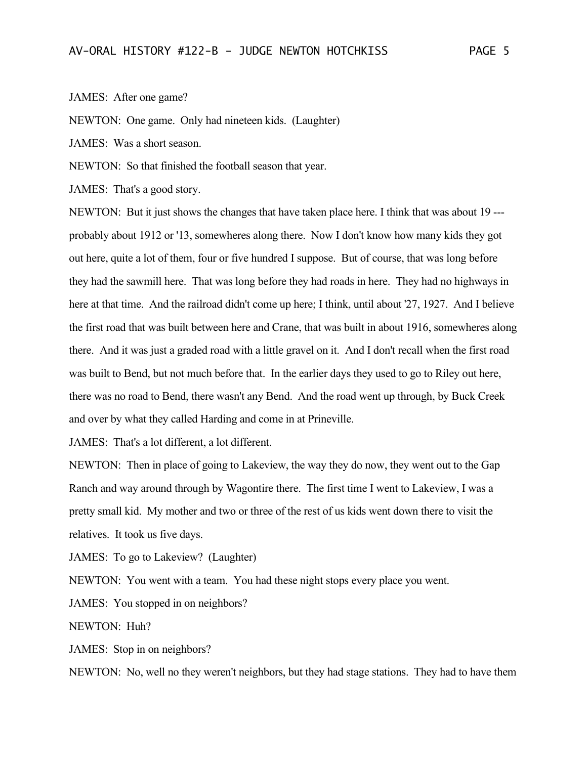JAMES: After one game?

NEWTON: One game. Only had nineteen kids. (Laughter)

JAMES: Was a short season.

NEWTON: So that finished the football season that year.

JAMES: That's a good story.

NEWTON: But it just shows the changes that have taken place here. I think that was about 19 -- probably about 1912 or '13, somewheres along there. Now I don't know how many kids they got out here, quite a lot of them, four or five hundred I suppose. But of course, that was long before they had the sawmill here. That was long before they had roads in here. They had no highways in here at that time. And the railroad didn't come up here; I think, until about '27, 1927. And I believe the first road that was built between here and Crane, that was built in about 1916, somewheres along there. And it was just a graded road with a little gravel on it. And I don't recall when the first road was built to Bend, but not much before that. In the earlier days they used to go to Riley out here, there was no road to Bend, there wasn't any Bend. And the road went up through, by Buck Creek and over by what they called Harding and come in at Prineville.

JAMES: That's a lot different, a lot different.

NEWTON: Then in place of going to Lakeview, the way they do now, they went out to the Gap Ranch and way around through by Wagontire there. The first time I went to Lakeview, I was a pretty small kid. My mother and two or three of the rest of us kids went down there to visit the relatives. It took us five days.

JAMES: To go to Lakeview? (Laughter)

NEWTON: You went with a team. You had these night stops every place you went.

JAMES: You stopped in on neighbors?

NEWTON: Huh?

JAMES: Stop in on neighbors?

NEWTON: No, well no they weren't neighbors, but they had stage stations. They had to have them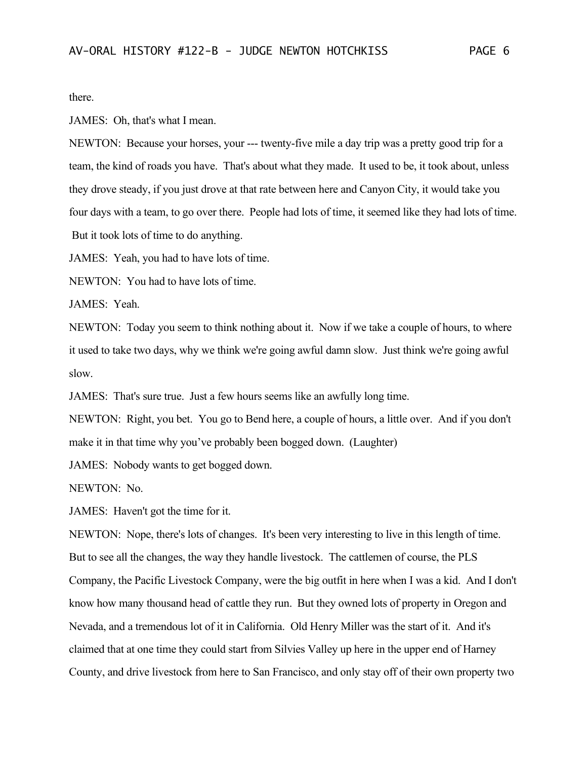there.

JAMES: Oh, that's what I mean.

NEWTON: Because your horses, your --- twenty-five mile a day trip was a pretty good trip for a team, the kind of roads you have. That's about what they made. It used to be, it took about, unless they drove steady, if you just drove at that rate between here and Canyon City, it would take you four days with a team, to go over there. People had lots of time, it seemed like they had lots of time. But it took lots of time to do anything.

JAMES: Yeah, you had to have lots of time.

NEWTON: You had to have lots of time.

JAMES: Yeah.

NEWTON: Today you seem to think nothing about it. Now if we take a couple of hours, to where it used to take two days, why we think we're going awful damn slow. Just think we're going awful slow.

JAMES: That's sure true. Just a few hours seems like an awfully long time.

NEWTON: Right, you bet. You go to Bend here, a couple of hours, a little over. And if you don't make it in that time why you've probably been bogged down. (Laughter)

JAMES: Nobody wants to get bogged down.

NEWTON: No.

JAMES: Haven't got the time for it.

NEWTON: Nope, there's lots of changes. It's been very interesting to live in this length of time. But to see all the changes, the way they handle livestock. The cattlemen of course, the PLS Company, the Pacific Livestock Company, were the big outfit in here when I was a kid. And I don't know how many thousand head of cattle they run. But they owned lots of property in Oregon and Nevada, and a tremendous lot of it in California. Old Henry Miller was the start of it. And it's claimed that at one time they could start from Silvies Valley up here in the upper end of Harney County, and drive livestock from here to San Francisco, and only stay off of their own property two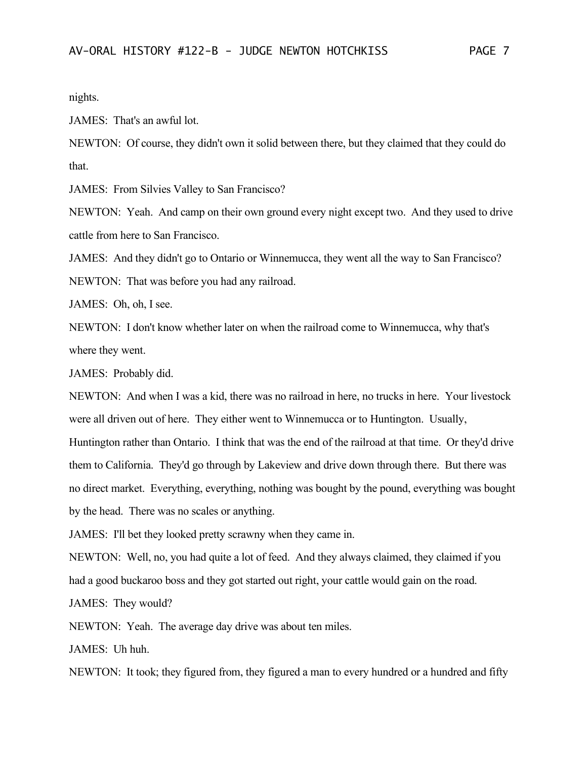nights.

JAMES: That's an awful lot.

NEWTON: Of course, they didn't own it solid between there, but they claimed that they could do that.

JAMES: From Silvies Valley to San Francisco?

NEWTON: Yeah. And camp on their own ground every night except two. And they used to drive cattle from here to San Francisco.

JAMES: And they didn't go to Ontario or Winnemucca, they went all the way to San Francisco? NEWTON: That was before you had any railroad.

JAMES: Oh, oh, I see.

NEWTON: I don't know whether later on when the railroad come to Winnemucca, why that's where they went.

JAMES: Probably did.

NEWTON: And when I was a kid, there was no railroad in here, no trucks in here. Your livestock were all driven out of here. They either went to Winnemucca or to Huntington. Usually, Huntington rather than Ontario. I think that was the end of the railroad at that time. Or they'd drive them to California. They'd go through by Lakeview and drive down through there. But there was no direct market. Everything, everything, nothing was bought by the pound, everything was bought by the head. There was no scales or anything.

JAMES: I'll bet they looked pretty scrawny when they came in.

NEWTON: Well, no, you had quite a lot of feed. And they always claimed, they claimed if you had a good buckaroo boss and they got started out right, your cattle would gain on the road.

JAMES: They would?

NEWTON: Yeah. The average day drive was about ten miles.

JAMES: Uh huh.

NEWTON: It took; they figured from, they figured a man to every hundred or a hundred and fifty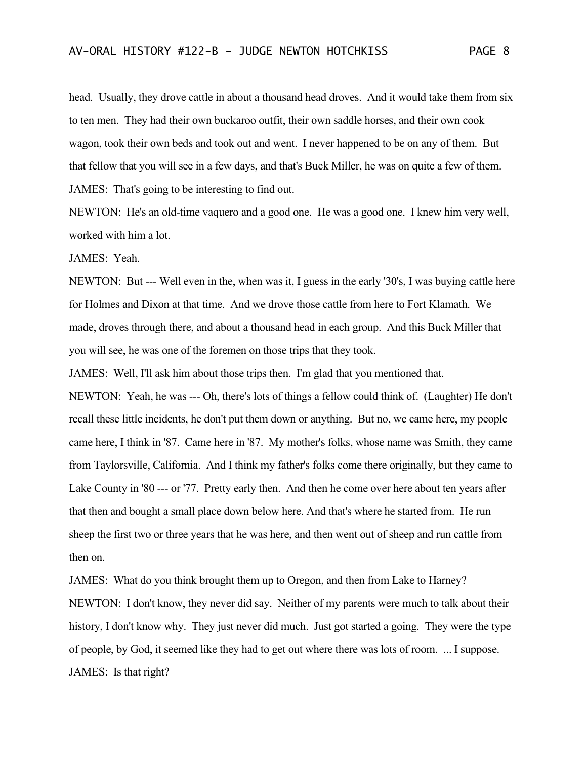head. Usually, they drove cattle in about a thousand head droves. And it would take them from six to ten men. They had their own buckaroo outfit, their own saddle horses, and their own cook wagon, took their own beds and took out and went. I never happened to be on any of them. But that fellow that you will see in a few days, and that's Buck Miller, he was on quite a few of them. JAMES: That's going to be interesting to find out.

NEWTON: He's an old-time vaquero and a good one. He was a good one. I knew him very well, worked with him a lot.

JAMES: Yeah.

NEWTON: But --- Well even in the, when was it, I guess in the early '30's, I was buying cattle here for Holmes and Dixon at that time. And we drove those cattle from here to Fort Klamath. We made, droves through there, and about a thousand head in each group. And this Buck Miller that you will see, he was one of the foremen on those trips that they took.

JAMES: Well, I'll ask him about those trips then. I'm glad that you mentioned that.

NEWTON: Yeah, he was --- Oh, there's lots of things a fellow could think of. (Laughter) He don't recall these little incidents, he don't put them down or anything. But no, we came here, my people came here, I think in '87. Came here in '87. My mother's folks, whose name was Smith, they came from Taylorsville, California. And I think my father's folks come there originally, but they came to Lake County in '80 --- or '77. Pretty early then. And then he come over here about ten years after that then and bought a small place down below here. And that's where he started from. He run sheep the first two or three years that he was here, and then went out of sheep and run cattle from then on.

JAMES: What do you think brought them up to Oregon, and then from Lake to Harney? NEWTON: I don't know, they never did say. Neither of my parents were much to talk about their history, I don't know why. They just never did much. Just got started a going. They were the type of people, by God, it seemed like they had to get out where there was lots of room. ... I suppose. JAMES: Is that right?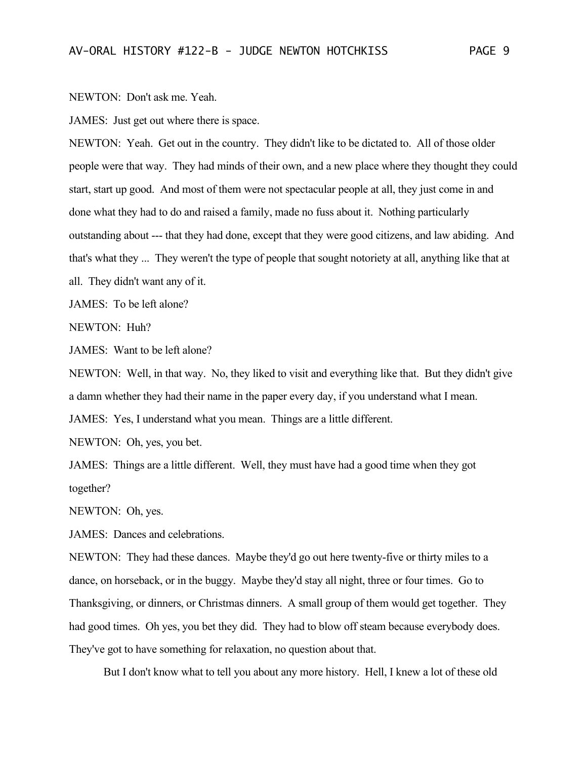NEWTON: Don't ask me. Yeah.

JAMES: Just get out where there is space.

NEWTON: Yeah. Get out in the country. They didn't like to be dictated to. All of those older people were that way. They had minds of their own, and a new place where they thought they could start, start up good. And most of them were not spectacular people at all, they just come in and done what they had to do and raised a family, made no fuss about it. Nothing particularly outstanding about --- that they had done, except that they were good citizens, and law abiding. And that's what they ... They weren't the type of people that sought notoriety at all, anything like that at all. They didn't want any of it.

JAMES: To be left alone?

NEWTON: Huh?

JAMES: Want to be left alone?

NEWTON: Well, in that way. No, they liked to visit and everything like that. But they didn't give a damn whether they had their name in the paper every day, if you understand what I mean.

JAMES: Yes, I understand what you mean. Things are a little different.

NEWTON: Oh, yes, you bet.

JAMES: Things are a little different. Well, they must have had a good time when they got together?

NEWTON: Oh, yes.

JAMES: Dances and celebrations.

NEWTON: They had these dances. Maybe they'd go out here twenty-five or thirty miles to a dance, on horseback, or in the buggy. Maybe they'd stay all night, three or four times. Go to Thanksgiving, or dinners, or Christmas dinners. A small group of them would get together. They had good times. Oh yes, you bet they did. They had to blow off steam because everybody does. They've got to have something for relaxation, no question about that.

But I don't know what to tell you about any more history. Hell, I knew a lot of these old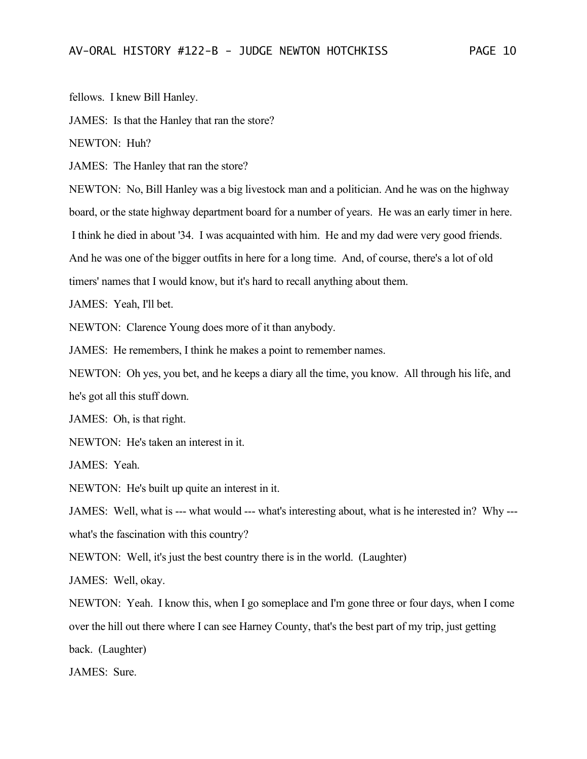fellows. I knew Bill Hanley.

JAMES: Is that the Hanley that ran the store?

NEWTON: Huh?

JAMES: The Hanley that ran the store?

NEWTON: No, Bill Hanley was a big livestock man and a politician. And he was on the highway board, or the state highway department board for a number of years. He was an early timer in here. I think he died in about '34. I was acquainted with him. He and my dad were very good friends. And he was one of the bigger outfits in here for a long time. And, of course, there's a lot of old timers' names that I would know, but it's hard to recall anything about them.

JAMES: Yeah, I'll bet.

NEWTON: Clarence Young does more of it than anybody.

JAMES: He remembers, I think he makes a point to remember names.

NEWTON: Oh yes, you bet, and he keeps a diary all the time, you know. All through his life, and he's got all this stuff down.

JAMES: Oh, is that right.

NEWTON: He's taken an interest in it.

JAMES: Yeah.

NEWTON: He's built up quite an interest in it.

JAMES: Well, what is --- what would --- what's interesting about, what is he interested in? Why -- what's the fascination with this country?

NEWTON: Well, it's just the best country there is in the world. (Laughter)

JAMES: Well, okay.

NEWTON: Yeah. I know this, when I go someplace and I'm gone three or four days, when I come over the hill out there where I can see Harney County, that's the best part of my trip, just getting back. (Laughter)

JAMES: Sure.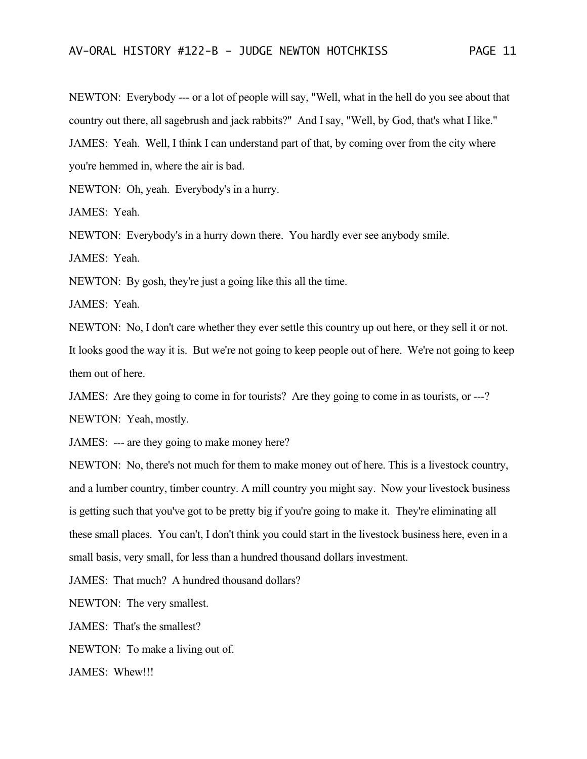NEWTON: Everybody --- or a lot of people will say, "Well, what in the hell do you see about that country out there, all sagebrush and jack rabbits?" And I say, "Well, by God, that's what I like." JAMES: Yeah. Well, I think I can understand part of that, by coming over from the city where you're hemmed in, where the air is bad.

NEWTON: Oh, yeah. Everybody's in a hurry.

JAMES: Yeah.

NEWTON: Everybody's in a hurry down there. You hardly ever see anybody smile.

JAMES: Yeah.

NEWTON: By gosh, they're just a going like this all the time.

JAMES: Yeah.

NEWTON: No, I don't care whether they ever settle this country up out here, or they sell it or not. It looks good the way it is. But we're not going to keep people out of here. We're not going to keep

them out of here.

JAMES: Are they going to come in for tourists? Are they going to come in as tourists, or ---?

NEWTON: Yeah, mostly.

JAMES: --- are they going to make money here?

NEWTON: No, there's not much for them to make money out of here. This is a livestock country, and a lumber country, timber country. A mill country you might say. Now your livestock business is getting such that you've got to be pretty big if you're going to make it. They're eliminating all these small places. You can't, I don't think you could start in the livestock business here, even in a small basis, very small, for less than a hundred thousand dollars investment.

JAMES: That much? A hundred thousand dollars?

NEWTON: The very smallest.

JAMES: That's the smallest?

NEWTON: To make a living out of.

JAMES: Whew!!!